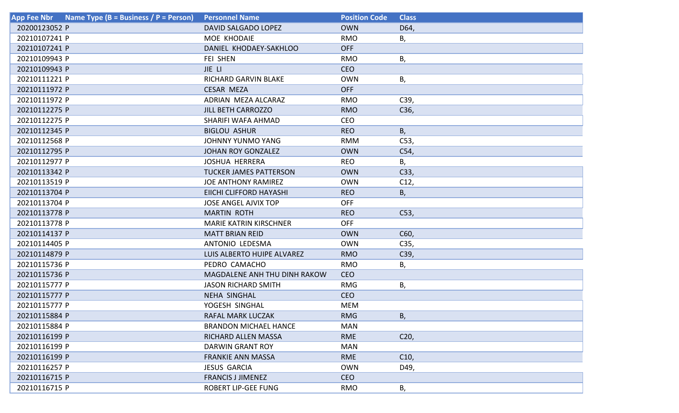| App Fee Nbr Name Type ( $B = B$ usiness / P = Person) | <b>Personnel Name</b>               | <b>Position Code</b> | <b>Class</b>    |
|-------------------------------------------------------|-------------------------------------|----------------------|-----------------|
| 20200123052 P                                         | <b>DAVID SALGADO LOPEZ</b>          | <b>OWN</b>           | D64,            |
| 20210107241 P                                         | MOE KHODAIE                         | <b>RMO</b>           | В,              |
| 20210107241 P                                         | DANIEL KHODAEY-SAKHLOO              | <b>OFF</b>           |                 |
| 20210109943 P                                         | <b>FEI SHEN</b>                     | <b>RMO</b>           | В,              |
| 20210109943 P                                         | JIE LI                              | <b>CEO</b>           |                 |
| 20210111221 P                                         | <b>RICHARD GARVIN BLAKE</b>         | <b>OWN</b>           | В,              |
| 20210111972 P                                         | <b>CESAR MEZA</b>                   | <b>OFF</b>           |                 |
| 20210111972 P                                         | ADRIAN MEZA ALCARAZ                 | <b>RMO</b>           | C39,            |
| 20210112275 P                                         | <b>JILL BETH CARROZZO</b>           | <b>RMO</b>           | C36,            |
| 20210112275 P                                         | SHARIFI WAFA AHMAD                  | <b>CEO</b>           |                 |
| 20210112345 P                                         | <b>BIGLOU ASHUR</b>                 | <b>REO</b>           | B,              |
| 20210112568 P                                         | JOHNNY YUNMO YANG                   | <b>RMM</b>           | C53,            |
| 20210112795 P                                         | <b>JOHAN ROY GONZALEZ</b>           | <b>OWN</b>           | C54,            |
| 20210112977 P                                         | <b>JOSHUA HERRERA</b>               | <b>REO</b>           | В,              |
| 20210113342 P                                         | <b>TUCKER JAMES PATTERSON</b>       | <b>OWN</b>           | C33,            |
| 20210113519 P                                         | <b>JOE ANTHONY RAMIREZ</b>          | <b>OWN</b>           | C12,            |
| 20210113704 P                                         | EIICHI CLIFFORD HAYASHI             | <b>REO</b>           | В,              |
| 20210113704 P                                         | <b>JOSE ANGEL AJVIX TOP</b>         | <b>OFF</b>           |                 |
| 20210113778 P                                         | <b>MARTIN ROTH</b>                  | <b>REO</b>           | C53,            |
| 20210113778 P                                         | <b>MARIE KATRIN KIRSCHNER</b>       | <b>OFF</b>           |                 |
| 20210114137 P                                         | <b>MATT BRIAN REID</b>              | <b>OWN</b>           | C60,            |
| 20210114405 P                                         | ANTONIO LEDESMA                     | <b>OWN</b>           | C35,            |
| 20210114879 P                                         | LUIS ALBERTO HUIPE ALVAREZ          | <b>RMO</b>           | C39,            |
| 20210115736 P                                         | PEDRO CAMACHO                       | <b>RMO</b>           | Β,              |
| 20210115736 P                                         | <b>MAGDALENE ANH THU DINH RAKOW</b> | <b>CEO</b>           |                 |
| 20210115777 P                                         | <b>JASON RICHARD SMITH</b>          | <b>RMG</b>           | В,              |
| 20210115777 P                                         | <b>NEHA SINGHAL</b>                 | <b>CEO</b>           |                 |
| 20210115777 P                                         | YOGESH SINGHAL                      | <b>MEM</b>           |                 |
| 20210115884 P                                         | RAFAL MARK LUCZAK                   | <b>RMG</b>           | B,              |
| 20210115884 P                                         | <b>BRANDON MICHAEL HANCE</b>        | <b>MAN</b>           |                 |
| 20210116199 P                                         | RICHARD ALLEN MASSA                 | <b>RME</b>           | C <sub>20</sub> |
| 20210116199 P                                         | DARWIN GRANT ROY                    | <b>MAN</b>           |                 |
| 20210116199 P                                         | <b>FRANKIE ANN MASSA</b>            | <b>RME</b>           | C10,            |
| 20210116257 P                                         | <b>JESUS GARCIA</b>                 | <b>OWN</b>           | D49,            |
| 20210116715 P                                         | <b>FRANCIS J JIMENEZ</b>            | <b>CEO</b>           |                 |
| 20210116715 P                                         | ROBERT LIP-GEE FUNG                 | <b>RMO</b>           | В,              |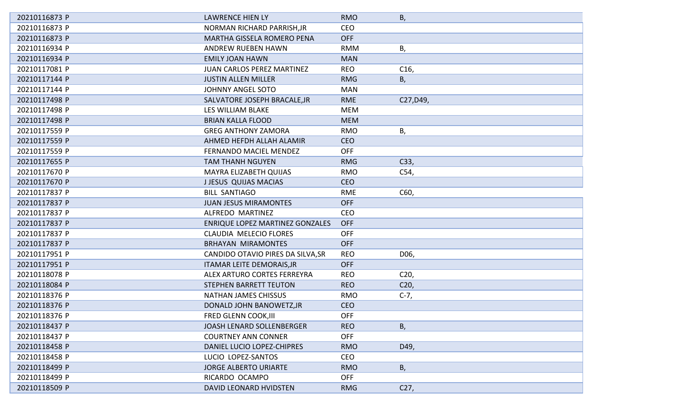| 20210116873 P | <b>LAWRENCE HIEN LY</b>                | <b>RMO</b> | Β,              |
|---------------|----------------------------------------|------------|-----------------|
| 20210116873 P | NORMAN RICHARD PARRISH, JR             | <b>CEO</b> |                 |
| 20210116873 P | <b>MARTHA GISSELA ROMERO PENA</b>      | <b>OFF</b> |                 |
| 20210116934 P | <b>ANDREW RUEBEN HAWN</b>              | <b>RMM</b> | В,              |
| 20210116934 P | <b>EMILY JOAN HAWN</b>                 | <b>MAN</b> |                 |
| 20210117081 P | <b>JUAN CARLOS PEREZ MARTINEZ</b>      | <b>REO</b> | C <sub>16</sub> |
| 20210117144 P | <b>JUSTIN ALLEN MILLER</b>             | <b>RMG</b> | В,              |
| 20210117144 P | <b>JOHNNY ANGEL SOTO</b>               | <b>MAN</b> |                 |
| 20210117498 P | SALVATORE JOSEPH BRACALE, JR           | <b>RME</b> | C27, D49,       |
| 20210117498 P | LES WILLIAM BLAKE                      | <b>MEM</b> |                 |
| 20210117498 P | <b>BRIAN KALLA FLOOD</b>               | <b>MEM</b> |                 |
| 20210117559 P | <b>GREG ANTHONY ZAMORA</b>             | <b>RMO</b> | В,              |
| 20210117559 P | AHMED HEFDH ALLAH ALAMIR               | <b>CEO</b> |                 |
| 20210117559 P | <b>FERNANDO MACIEL MENDEZ</b>          | <b>OFF</b> |                 |
| 20210117655 P | <b>TAM THANH NGUYEN</b>                | <b>RMG</b> | C33,            |
| 20210117670 P | MAYRA ELIZABETH QUIJAS                 | <b>RMO</b> | C54,            |
| 20210117670 P | <b>JJESUS QUIJAS MACIAS</b>            | <b>CEO</b> |                 |
| 20210117837 P | <b>BILL SANTIAGO</b>                   | <b>RME</b> | C60,            |
| 20210117837 P | <b>JUAN JESUS MIRAMONTES</b>           | <b>OFF</b> |                 |
| 20210117837 P | ALFREDO MARTINEZ                       | <b>CEO</b> |                 |
| 20210117837 P | <b>ENRIQUE LOPEZ MARTINEZ GONZALES</b> | <b>OFF</b> |                 |
| 20210117837 P | <b>CLAUDIA MELECIO FLORES</b>          | <b>OFF</b> |                 |
| 20210117837 P | <b>BRHAYAN MIRAMONTES</b>              | <b>OFF</b> |                 |
| 20210117951 P | CANDIDO OTAVIO PIRES DA SILVA, SR      | <b>REO</b> | D06,            |
| 20210117951 P | <b>ITAMAR LEITE DEMORAIS, JR</b>       | <b>OFF</b> |                 |
| 20210118078 P | ALEX ARTURO CORTES FERREYRA            | <b>REO</b> | C <sub>20</sub> |
| 20210118084 P | <b>STEPHEN BARRETT TEUTON</b>          | <b>REO</b> | C <sub>20</sub> |
| 20210118376 P | <b>NATHAN JAMES CHISSUS</b>            | <b>RMO</b> | $C-7,$          |
| 20210118376 P | DONALD JOHN BANOWETZ, JR               | CEO        |                 |
| 20210118376 P | <b>FRED GLENN COOK, III</b>            | <b>OFF</b> |                 |
| 20210118437 P | JOASH LENARD SOLLENBERGER              | <b>REO</b> | B,              |
| 20210118437 P | <b>COURTNEY ANN CONNER</b>             | <b>OFF</b> |                 |
| 20210118458 P | DANIEL LUCIO LOPEZ-CHIPRES             | <b>RMO</b> | D49,            |
| 20210118458 P | LUCIO LOPEZ-SANTOS                     | <b>CEO</b> |                 |
| 20210118499 P | <b>JORGE ALBERTO URIARTE</b>           | <b>RMO</b> | В,              |
| 20210118499 P | RICARDO OCAMPO                         | <b>OFF</b> |                 |
| 20210118509 P | <b>DAVID LEONARD HVIDSTEN</b>          | <b>RMG</b> | C <sub>27</sub> |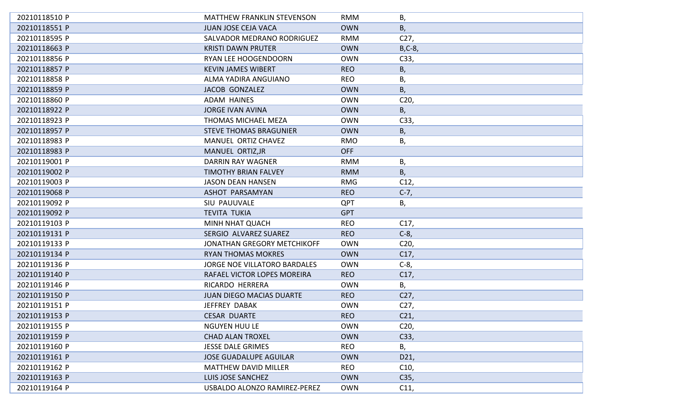| 20210118510 P | <b>MATTHEW FRANKLIN STEVENSON</b>   | <b>RMM</b> | Β,              |
|---------------|-------------------------------------|------------|-----------------|
| 20210118551 P | <b>JUAN JOSE CEJA VACA</b>          | <b>OWN</b> | B,              |
| 20210118595 P | SALVADOR MEDRANO RODRIGUEZ          | <b>RMM</b> | C27,            |
| 20210118663 P | <b>KRISTI DAWN PRUTER</b>           | <b>OWN</b> | $B, C-8$        |
| 20210118856 P | RYAN LEE HOOGENDOORN                | <b>OWN</b> | C33,            |
| 20210118857 P | <b>KEVIN JAMES WIBERT</b>           | <b>REO</b> | Β,              |
| 20210118858 P | ALMA YADIRA ANGUIANO                | <b>REO</b> | Β,              |
| 20210118859 P | <b>JACOB GONZALEZ</b>               | <b>OWN</b> | Β,              |
| 20210118860 P | <b>ADAM HAINES</b>                  | <b>OWN</b> | C <sub>20</sub> |
| 20210118922 P | <b>JORGE IVAN AVINA</b>             | <b>OWN</b> | B,              |
| 20210118923 P | THOMAS MICHAEL MEZA                 | <b>OWN</b> | C33,            |
| 20210118957 P | <b>STEVE THOMAS BRAGUNIER</b>       | <b>OWN</b> | В,              |
| 20210118983 P | MANUEL ORTIZ CHAVEZ                 | <b>RMO</b> | В,              |
| 20210118983 P | MANUEL ORTIZ, JR                    | <b>OFF</b> |                 |
| 20210119001 P | DARRIN RAY WAGNER                   | <b>RMM</b> | Β,              |
| 20210119002 P | <b>TIMOTHY BRIAN FALVEY</b>         | <b>RMM</b> | B,              |
| 20210119003 P | <b>JASON DEAN HANSEN</b>            | <b>RMG</b> | C12,            |
| 20210119068 P | ASHOT PARSAMYAN                     | <b>REO</b> | $C-7,$          |
| 20210119092 P | <b>SIU PAUUVALE</b>                 | <b>QPT</b> | В,              |
| 20210119092 P | <b>TEVITA TUKIA</b>                 | <b>GPT</b> |                 |
| 20210119103 P | MINH NHAT QUACH                     | <b>REO</b> | C17,            |
| 20210119131 P | SERGIO ALVAREZ SUAREZ               | <b>REO</b> | $C-8$           |
| 20210119133 P | <b>JONATHAN GREGORY METCHIKOFF</b>  | <b>OWN</b> | C <sub>20</sub> |
| 20210119134 P | <b>RYAN THOMAS MOKRES</b>           | <b>OWN</b> | C17,            |
| 20210119136 P | <b>JORGE NOE VILLATORO BARDALES</b> | <b>OWN</b> | $C-8$ ,         |
| 20210119140 P | RAFAEL VICTOR LOPES MOREIRA         | <b>REO</b> | C17,            |
| 20210119146 P | RICARDO HERRERA                     | <b>OWN</b> | В,              |
| 20210119150 P | <b>JUAN DIEGO MACIAS DUARTE</b>     | <b>REO</b> | C27,            |
| 20210119151 P | <b>JEFFREY DABAK</b>                | <b>OWN</b> | C27,            |
| 20210119153 P | <b>CESAR DUARTE</b>                 | <b>REO</b> | C <sub>21</sub> |
| 20210119155 P | <b>NGUYEN HUU LE</b>                | <b>OWN</b> | C <sub>20</sub> |
| 20210119159 P | <b>CHAD ALAN TROXEL</b>             | <b>OWN</b> | C33,            |
| 20210119160 P | <b>JESSE DALE GRIMES</b>            | <b>REO</b> | В,              |
| 20210119161 P | <b>JOSE GUADALUPE AGUILAR</b>       | <b>OWN</b> | D21,            |
| 20210119162 P | <b>MATTHEW DAVID MILLER</b>         | <b>REO</b> | C10,            |
| 20210119163 P | LUIS JOSE SANCHEZ                   | <b>OWN</b> | C35,            |
| 20210119164 P | USBALDO ALONZO RAMIREZ-PEREZ        | <b>OWN</b> | C11,            |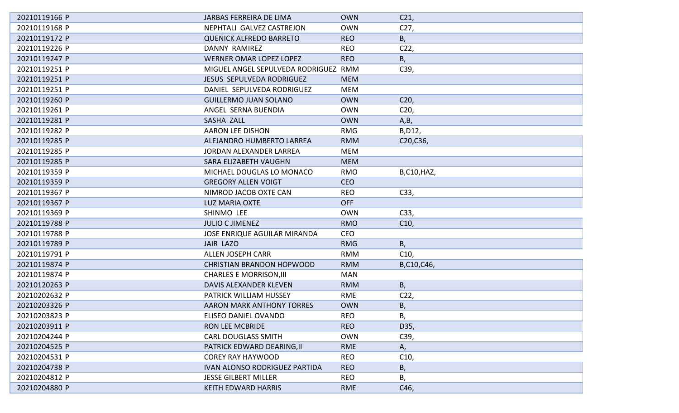| 20210119166 P | JARBAS FERREIRA DE LIMA              | <b>OWN</b> | C <sub>21</sub>   |
|---------------|--------------------------------------|------------|-------------------|
| 20210119168 P | NEPHTALI GALVEZ CASTREJON            | <b>OWN</b> | C <sub>27</sub>   |
| 20210119172 P | <b>QUENICK ALFREDO BARRETO</b>       | <b>REO</b> | В,                |
| 20210119226 P | DANNY RAMIREZ                        | <b>REO</b> | C <sub>2</sub>    |
| 20210119247 P | <b>WERNER OMAR LOPEZ LOPEZ</b>       | <b>REO</b> | B,                |
| 20210119251 P | MIGUEL ANGEL SEPULVEDA RODRIGUEZ RMM |            | C39,              |
| 20210119251 P | JESUS SEPULVEDA RODRIGUEZ            | <b>MEM</b> |                   |
| 20210119251 P | DANIEL SEPULVEDA RODRIGUEZ           | MEM        |                   |
| 20210119260 P | <b>GUILLERMO JUAN SOLANO</b>         | <b>OWN</b> | C <sub>20</sub>   |
| 20210119261 P | ANGEL SERNA BUENDIA                  | <b>OWN</b> | C <sub>20</sub>   |
| 20210119281 P | SASHA ZALL                           | <b>OWN</b> | A,B,              |
| 20210119282 P | AARON LEE DISHON                     | <b>RMG</b> | B, D12,           |
| 20210119285 P | ALEJANDRO HUMBERTO LARREA            | <b>RMM</b> | C20, C36,         |
| 20210119285 P | <b>JORDAN ALEXANDER LARREA</b>       | <b>MEM</b> |                   |
| 20210119285 P | SARA ELIZABETH VAUGHN                | <b>MEM</b> |                   |
| 20210119359 P | MICHAEL DOUGLAS LO MONACO            | <b>RMO</b> | <b>B,C10,HAZ,</b> |
| 20210119359 P | <b>GREGORY ALLEN VOIGT</b>           | <b>CEO</b> |                   |
| 20210119367 P | NIMROD JACOB OXTE CAN                | <b>REO</b> | C33,              |
| 20210119367 P | <b>LUZ MARIA OXTE</b>                | <b>OFF</b> |                   |
| 20210119369 P | SHINMO LEE                           | <b>OWN</b> | C33,              |
| 20210119788 P | <b>JULIO C JIMENEZ</b>               | <b>RMO</b> | C10,              |
| 20210119788 P | <b>JOSE ENRIQUE AGUILAR MIRANDA</b>  | <b>CEO</b> |                   |
| 20210119789 P | JAIR LAZO                            | <b>RMG</b> | В,                |
| 20210119791 P | <b>ALLEN JOSEPH CARR</b>             | <b>RMM</b> | C10,              |
| 20210119874 P | <b>CHRISTIAN BRANDON HOPWOOD</b>     | <b>RMM</b> | B,C10,C46,        |
| 20210119874 P | <b>CHARLES E MORRISON, III</b>       | <b>MAN</b> |                   |
| 20210120263 P | DAVIS ALEXANDER KLEVEN               | <b>RMM</b> | В,                |
| 20210202632 P | PATRICK WILLIAM HUSSEY               | <b>RME</b> | C <sub>2</sub>    |
| 20210203326 P | <b>AARON MARK ANTHONY TORRES</b>     | <b>OWN</b> | В,                |
| 20210203823 P | ELISEO DANIEL OVANDO                 | REO.       | Β,                |
| 20210203911 P | RON LEE MCBRIDE                      | <b>REO</b> | D35,              |
| 20210204244 P | <b>CARL DOUGLASS SMITH</b>           | <b>OWN</b> | C39,              |
| 20210204525 P | PATRICK EDWARD DEARING, II           | <b>RME</b> | А,                |
| 20210204531 P | <b>COREY RAY HAYWOOD</b>             | <b>REO</b> | C <sub>10</sub>   |
| 20210204738 P | <b>IVAN ALONSO RODRIGUEZ PARTIDA</b> | <b>REO</b> | Β,                |
| 20210204812 P | <b>JESSE GILBERT MILLER</b>          | <b>REO</b> | Β,                |
| 20210204880 P | <b>KEITH EDWARD HARRIS</b>           | <b>RME</b> | C46,              |